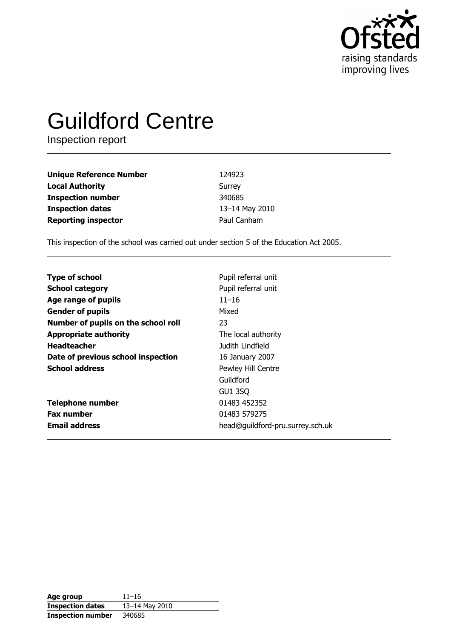

# **Guildford Centre**

Inspection report

| <b>Unique Reference Number</b> | 124923         |
|--------------------------------|----------------|
| <b>Local Authority</b>         | Surrey         |
| <b>Inspection number</b>       | 340685         |
| <b>Inspection dates</b>        | 13-14 May 2010 |
| <b>Reporting inspector</b>     | Paul Canham    |

This inspection of the school was carried out under section 5 of the Education Act 2005.

| <b>Type of school</b>               | Pupil referral unit              |
|-------------------------------------|----------------------------------|
| <b>School category</b>              | Pupil referral unit              |
| Age range of pupils                 | $11 - 16$                        |
| <b>Gender of pupils</b>             | Mixed                            |
| Number of pupils on the school roll | 23                               |
| <b>Appropriate authority</b>        | The local authority              |
| <b>Headteacher</b>                  | Judith Lindfield                 |
| Date of previous school inspection  | 16 January 2007                  |
| <b>School address</b>               | Pewley Hill Centre               |
|                                     | Guildford                        |
|                                     | <b>GU1 3SQ</b>                   |
| <b>Telephone number</b>             | 01483 452352                     |
| <b>Fax number</b>                   | 01483 579275                     |
| <b>Email address</b>                | head@guildford-pru.surrey.sch.uk |
|                                     |                                  |

| Age group                | $11 - 16$      |
|--------------------------|----------------|
| <b>Inspection dates</b>  | 13-14 May 2010 |
| <b>Inspection number</b> | 340685         |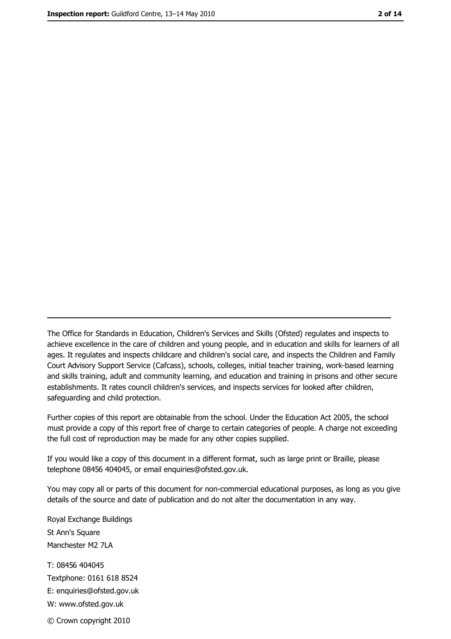The Office for Standards in Education, Children's Services and Skills (Ofsted) regulates and inspects to achieve excellence in the care of children and young people, and in education and skills for learners of all ages. It regulates and inspects childcare and children's social care, and inspects the Children and Family Court Advisory Support Service (Cafcass), schools, colleges, initial teacher training, work-based learning and skills training, adult and community learning, and education and training in prisons and other secure establishments. It rates council children's services, and inspects services for looked after children, safequarding and child protection.

Further copies of this report are obtainable from the school. Under the Education Act 2005, the school must provide a copy of this report free of charge to certain categories of people. A charge not exceeding the full cost of reproduction may be made for any other copies supplied.

If you would like a copy of this document in a different format, such as large print or Braille, please telephone 08456 404045, or email enquiries@ofsted.gov.uk.

You may copy all or parts of this document for non-commercial educational purposes, as long as you give details of the source and date of publication and do not alter the documentation in any way.

Royal Exchange Buildings St Ann's Square Manchester M2 7LA T: 08456 404045 Textphone: 0161 618 8524 E: enquiries@ofsted.gov.uk W: www.ofsted.gov.uk © Crown copyright 2010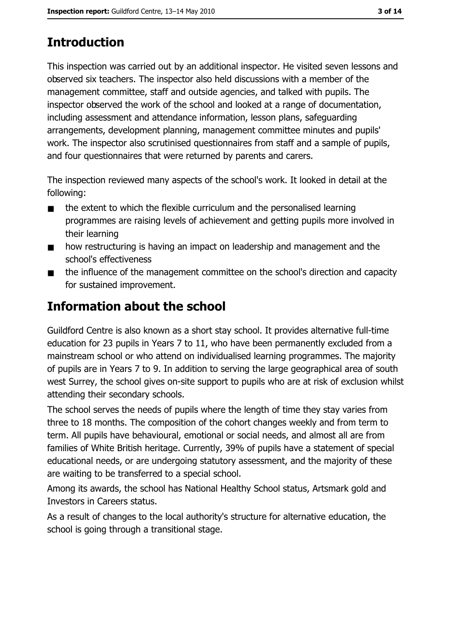# **Introduction**

This inspection was carried out by an additional inspector. He visited seven lessons and observed six teachers. The inspector also held discussions with a member of the management committee, staff and outside agencies, and talked with pupils. The inspector observed the work of the school and looked at a range of documentation, including assessment and attendance information, lesson plans, safequarding arrangements, development planning, management committee minutes and pupils' work. The inspector also scrutinised questionnaires from staff and a sample of pupils, and four questionnaires that were returned by parents and carers.

The inspection reviewed many aspects of the school's work. It looked in detail at the following:

- the extent to which the flexible curriculum and the personalised learning  $\blacksquare$ programmes are raising levels of achievement and getting pupils more involved in their learning
- how restructuring is having an impact on leadership and management and the  $\blacksquare$ school's effectiveness
- the influence of the management committee on the school's direction and capacity  $\blacksquare$ for sustained improvement.

# Information about the school

Guildford Centre is also known as a short stay school. It provides alternative full-time education for 23 pupils in Years 7 to 11, who have been permanently excluded from a mainstream school or who attend on individualised learning programmes. The majority of pupils are in Years 7 to 9. In addition to serving the large geographical area of south west Surrey, the school gives on-site support to pupils who are at risk of exclusion whilst attending their secondary schools.

The school serves the needs of pupils where the length of time they stay varies from three to 18 months. The composition of the cohort changes weekly and from term to term. All pupils have behavioural, emotional or social needs, and almost all are from families of White British heritage. Currently, 39% of pupils have a statement of special educational needs, or are undergoing statutory assessment, and the majority of these are waiting to be transferred to a special school.

Among its awards, the school has National Healthy School status, Artsmark gold and Investors in Careers status.

As a result of changes to the local authority's structure for alternative education, the school is going through a transitional stage.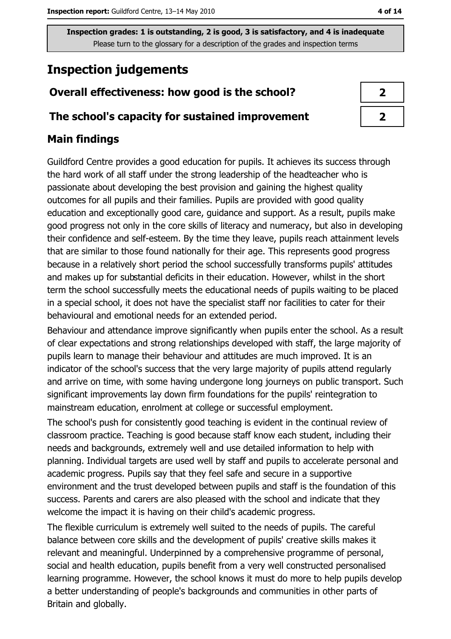# **Inspection judgements**

# Overall effectiveness: how good is the school?

### The school's capacity for sustained improvement

# **Main findings**

Guildford Centre provides a good education for pupils. It achieves its success through the hard work of all staff under the strong leadership of the headteacher who is passionate about developing the best provision and gaining the highest quality outcomes for all pupils and their families. Pupils are provided with good quality education and exceptionally good care, guidance and support. As a result, pupils make good progress not only in the core skills of literacy and numeracy, but also in developing their confidence and self-esteem. By the time they leave, pupils reach attainment levels that are similar to those found nationally for their age. This represents good progress because in a relatively short period the school successfully transforms pupils' attitudes and makes up for substantial deficits in their education. However, whilst in the short term the school successfully meets the educational needs of pupils waiting to be placed in a special school, it does not have the specialist staff nor facilities to cater for their behavioural and emotional needs for an extended period.

Behaviour and attendance improve significantly when pupils enter the school. As a result of clear expectations and strong relationships developed with staff, the large majority of pupils learn to manage their behaviour and attitudes are much improved. It is an indicator of the school's success that the very large majority of pupils attend regularly and arrive on time, with some having undergone long journeys on public transport. Such significant improvements lay down firm foundations for the pupils' reintegration to mainstream education, enrolment at college or successful employment.

The school's push for consistently good teaching is evident in the continual review of classroom practice. Teaching is good because staff know each student, including their needs and backgrounds, extremely well and use detailed information to help with planning. Individual targets are used well by staff and pupils to accelerate personal and academic progress. Pupils say that they feel safe and secure in a supportive environment and the trust developed between pupils and staff is the foundation of this success. Parents and carers are also pleased with the school and indicate that they welcome the impact it is having on their child's academic progress.

The flexible curriculum is extremely well suited to the needs of pupils. The careful balance between core skills and the development of pupils' creative skills makes it relevant and meaningful. Underpinned by a comprehensive programme of personal, social and health education, pupils benefit from a very well constructed personalised learning programme. However, the school knows it must do more to help pupils develop a better understanding of people's backgrounds and communities in other parts of Britain and globally.

| ۰. |  |
|----|--|
|----|--|

| 7 |  |
|---|--|
| 7 |  |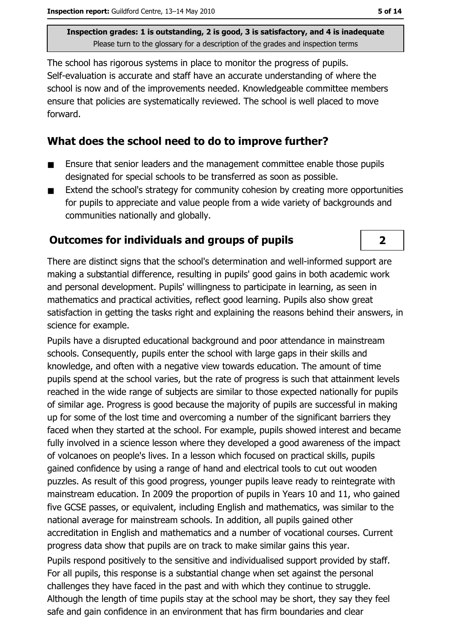The school has rigorous systems in place to monitor the progress of pupils. Self-evaluation is accurate and staff have an accurate understanding of where the school is now and of the improvements needed. Knowledgeable committee members ensure that policies are systematically reviewed. The school is well placed to move forward.

### What does the school need to do to improve further?

- Ensure that senior leaders and the management committee enable those pupils  $\blacksquare$ designated for special schools to be transferred as soon as possible.
- Extend the school's strategy for community cohesion by creating more opportunities  $\blacksquare$ for pupils to appreciate and value people from a wide variety of backgrounds and communities nationally and globally.

# **Outcomes for individuals and groups of pupils**

There are distinct signs that the school's determination and well-informed support are making a substantial difference, resulting in pupils' good gains in both academic work and personal development. Pupils' willingness to participate in learning, as seen in mathematics and practical activities, reflect good learning. Pupils also show great satisfaction in getting the tasks right and explaining the reasons behind their answers, in science for example.

Pupils have a disrupted educational background and poor attendance in mainstream schools. Consequently, pupils enter the school with large gaps in their skills and knowledge, and often with a negative view towards education. The amount of time pupils spend at the school varies, but the rate of progress is such that attainment levels reached in the wide range of subjects are similar to those expected nationally for pupils of similar age. Progress is good because the majority of pupils are successful in making up for some of the lost time and overcoming a number of the significant barriers they faced when they started at the school. For example, pupils showed interest and became fully involved in a science lesson where they developed a good awareness of the impact of volcanoes on people's lives. In a lesson which focused on practical skills, pupils gained confidence by using a range of hand and electrical tools to cut out wooden puzzles. As result of this good progress, younger pupils leave ready to reintegrate with mainstream education. In 2009 the proportion of pupils in Years 10 and 11, who gained five GCSE passes, or equivalent, including English and mathematics, was similar to the national average for mainstream schools. In addition, all pupils gained other accreditation in English and mathematics and a number of vocational courses. Current progress data show that pupils are on track to make similar gains this year.

Pupils respond positively to the sensitive and individualised support provided by staff. For all pupils, this response is a substantial change when set against the personal challenges they have faced in the past and with which they continue to struggle. Although the length of time pupils stay at the school may be short, they say they feel safe and gain confidence in an environment that has firm boundaries and clear

 $\overline{2}$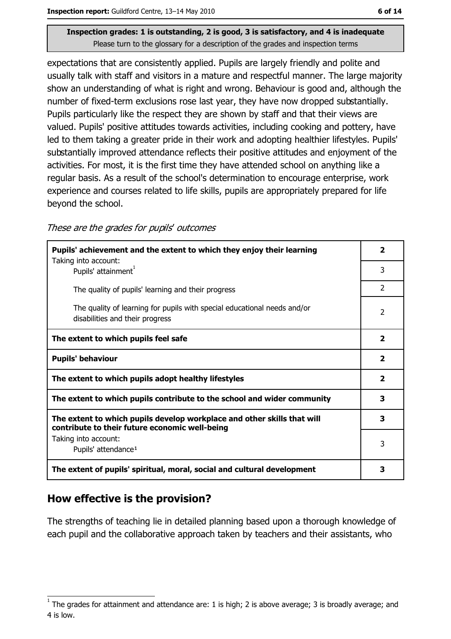expectations that are consistently applied. Pupils are largely friendly and polite and usually talk with staff and visitors in a mature and respectful manner. The large majority show an understanding of what is right and wrong. Behaviour is good and, although the number of fixed-term exclusions rose last year, they have now dropped substantially. Pupils particularly like the respect they are shown by staff and that their views are valued. Pupils' positive attitudes towards activities, including cooking and pottery, have led to them taking a greater pride in their work and adopting healthier lifestyles. Pupils' substantially improved attendance reflects their positive attitudes and enjoyment of the activities. For most, it is the first time they have attended school on anything like a regular basis. As a result of the school's determination to encourage enterprise, work experience and courses related to life skills, pupils are appropriately prepared for life beyond the school.

#### These are the grades for pupils' outcomes

| Pupils' achievement and the extent to which they enjoy their learning                                                     | $\overline{\phantom{a}}$ |
|---------------------------------------------------------------------------------------------------------------------------|--------------------------|
| Taking into account:<br>Pupils' attainment <sup>1</sup>                                                                   | 3                        |
| The quality of pupils' learning and their progress                                                                        | $\mathcal{P}$            |
| The quality of learning for pupils with special educational needs and/or<br>disabilities and their progress               | 2                        |
| The extent to which pupils feel safe                                                                                      | $\overline{2}$           |
| <b>Pupils' behaviour</b>                                                                                                  | $\overline{\mathbf{2}}$  |
| The extent to which pupils adopt healthy lifestyles                                                                       | $\mathbf{2}$             |
| The extent to which pupils contribute to the school and wider community                                                   | 3                        |
| The extent to which pupils develop workplace and other skills that will<br>contribute to their future economic well-being | 3                        |
| Taking into account:<br>Pupils' attendance <sup>1</sup>                                                                   | 3                        |
| The extent of pupils' spiritual, moral, social and cultural development                                                   | 3                        |

### How effective is the provision?

The strengths of teaching lie in detailed planning based upon a thorough knowledge of each pupil and the collaborative approach taken by teachers and their assistants, who

The grades for attainment and attendance are: 1 is high; 2 is above average; 3 is broadly average; and 4 is low.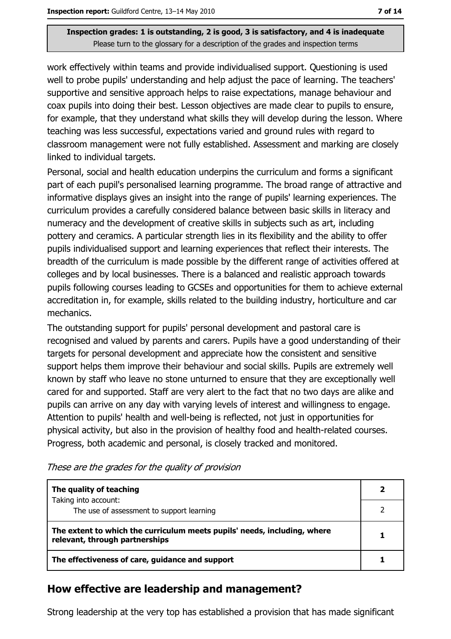work effectively within teams and provide individualised support. Ouestioning is used well to probe pupils' understanding and help adjust the pace of learning. The teachers' supportive and sensitive approach helps to raise expectations, manage behaviour and coax pupils into doing their best. Lesson objectives are made clear to pupils to ensure, for example, that they understand what skills they will develop during the lesson. Where teaching was less successful, expectations varied and ground rules with regard to classroom management were not fully established. Assessment and marking are closely linked to individual targets.

Personal, social and health education underpins the curriculum and forms a significant part of each pupil's personalised learning programme. The broad range of attractive and informative displays gives an insight into the range of pupils' learning experiences. The curriculum provides a carefully considered balance between basic skills in literacy and numeracy and the development of creative skills in subjects such as art, including pottery and ceramics. A particular strength lies in its flexibility and the ability to offer pupils individualised support and learning experiences that reflect their interests. The breadth of the curriculum is made possible by the different range of activities offered at colleges and by local businesses. There is a balanced and realistic approach towards pupils following courses leading to GCSEs and opportunities for them to achieve external accreditation in, for example, skills related to the building industry, horticulture and car mechanics.

The outstanding support for pupils' personal development and pastoral care is recognised and valued by parents and carers. Pupils have a good understanding of their targets for personal development and appreciate how the consistent and sensitive support helps them improve their behaviour and social skills. Pupils are extremely well known by staff who leave no stone unturned to ensure that they are exceptionally well cared for and supported. Staff are very alert to the fact that no two days are alike and pupils can arrive on any day with varying levels of interest and willingness to engage. Attention to pupils' health and well-being is reflected, not just in opportunities for physical activity, but also in the provision of healthy food and health-related courses. Progress, both academic and personal, is closely tracked and monitored.

The quality of teaching  $\overline{2}$ Taking into account:  $\overline{2}$ The use of assessment to support learning The extent to which the curriculum meets pupils' needs, including, where 1 relevant, through partnerships  $\mathbf{1}$ The effectiveness of care, guidance and support

These are the grades for the quality of provision

### How effective are leadership and management?

Strong leadership at the very top has established a provision that has made significant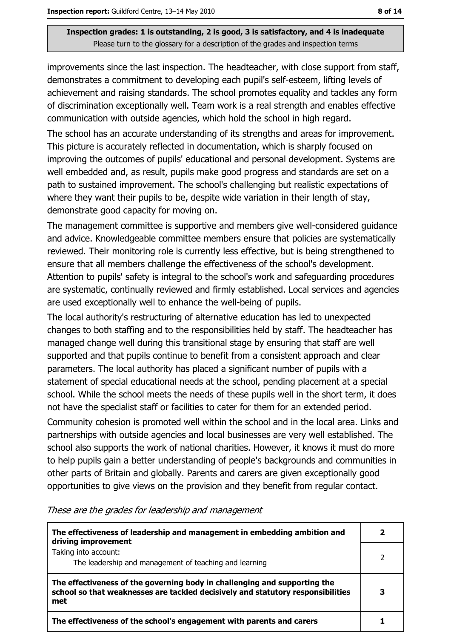improvements since the last inspection. The headteacher, with close support from staff, demonstrates a commitment to developing each pupil's self-esteem, lifting levels of achievement and raising standards. The school promotes equality and tackles any form of discrimination exceptionally well. Team work is a real strength and enables effective communication with outside agencies, which hold the school in high regard.

The school has an accurate understanding of its strengths and areas for improvement. This picture is accurately reflected in documentation, which is sharply focused on improving the outcomes of pupils' educational and personal development. Systems are well embedded and, as result, pupils make good progress and standards are set on a path to sustained improvement. The school's challenging but realistic expectations of where they want their pupils to be, despite wide variation in their length of stay, demonstrate good capacity for moving on.

The management committee is supportive and members give well-considered guidance and advice. Knowledgeable committee members ensure that policies are systematically reviewed. Their monitoring role is currently less effective, but is being strengthened to ensure that all members challenge the effectiveness of the school's development. Attention to pupils' safety is integral to the school's work and safeguarding procedures are systematic, continually reviewed and firmly established. Local services and agencies are used exceptionally well to enhance the well-being of pupils.

The local authority's restructuring of alternative education has led to unexpected changes to both staffing and to the responsibilities held by staff. The headteacher has managed change well during this transitional stage by ensuring that staff are well supported and that pupils continue to benefit from a consistent approach and clear parameters. The local authority has placed a significant number of pupils with a statement of special educational needs at the school, pending placement at a special school. While the school meets the needs of these pupils well in the short term, it does not have the specialist staff or facilities to cater for them for an extended period.

Community cohesion is promoted well within the school and in the local area. Links and partnerships with outside agencies and local businesses are very well established. The school also supports the work of national charities. However, it knows it must do more to help pupils gain a better understanding of people's backgrounds and communities in other parts of Britain and globally. Parents and carers are given exceptionally good opportunities to give views on the provision and they benefit from regular contact.

These are the grades for leadership and management

| The effectiveness of leadership and management in embedding ambition and<br>driving improvement                                                                     |  |
|---------------------------------------------------------------------------------------------------------------------------------------------------------------------|--|
| Taking into account:<br>The leadership and management of teaching and learning                                                                                      |  |
| The effectiveness of the governing body in challenging and supporting the<br>school so that weaknesses are tackled decisively and statutory responsibilities<br>met |  |
| The effectiveness of the school's engagement with parents and carers                                                                                                |  |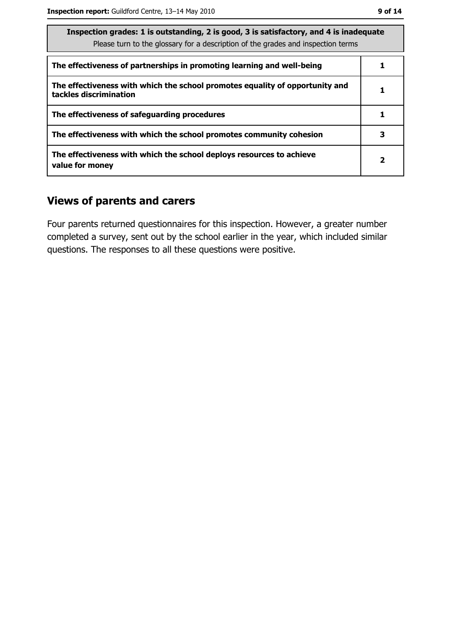| The effectiveness of partnerships in promoting learning and well-being                                 |   |
|--------------------------------------------------------------------------------------------------------|---|
| The effectiveness with which the school promotes equality of opportunity and<br>tackles discrimination |   |
| The effectiveness of safeguarding procedures                                                           |   |
| The effectiveness with which the school promotes community cohesion                                    |   |
| The effectiveness with which the school deploys resources to achieve<br>value for money                | 2 |

# **Views of parents and carers**

Four parents returned questionnaires for this inspection. However, a greater number completed a survey, sent out by the school earlier in the year, which included similar questions. The responses to all these questions were positive.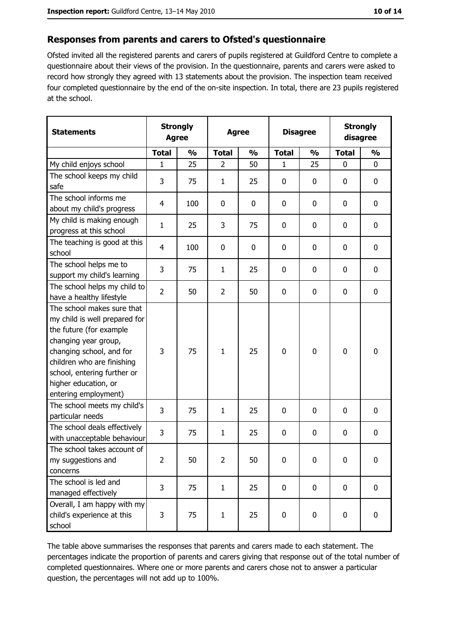### Responses from parents and carers to Ofsted's questionnaire

Ofsted invited all the registered parents and carers of pupils registered at Guildford Centre to complete a questionnaire about their views of the provision. In the questionnaire, parents and carers were asked to record how strongly they agreed with 13 statements about the provision. The inspection team received four completed questionnaire by the end of the on-site inspection. In total, there are 23 pupils registered at the school.

| <b>Statements</b>                                                                                                                                                                                                                                       | <b>Strongly</b><br><b>Agree</b> |               | <b>Agree</b>   |               |              | <b>Disagree</b> |              | <b>Strongly</b><br>disagree |  |
|---------------------------------------------------------------------------------------------------------------------------------------------------------------------------------------------------------------------------------------------------------|---------------------------------|---------------|----------------|---------------|--------------|-----------------|--------------|-----------------------------|--|
|                                                                                                                                                                                                                                                         | <b>Total</b>                    | $\frac{0}{0}$ | <b>Total</b>   | $\frac{0}{0}$ | <b>Total</b> | $\frac{0}{0}$   | <b>Total</b> | $\frac{0}{0}$               |  |
| My child enjoys school                                                                                                                                                                                                                                  | $\mathbf{1}$                    | 25            | $\overline{2}$ | 50            | 1            | 25              | 0            | 0                           |  |
| The school keeps my child<br>safe                                                                                                                                                                                                                       | 3                               | 75            | $\mathbf{1}$   | 25            | $\mathbf 0$  | 0               | $\mathbf 0$  | 0                           |  |
| The school informs me<br>about my child's progress                                                                                                                                                                                                      | $\overline{4}$                  | 100           | 0              | 0             | 0            | 0               | 0            | 0                           |  |
| My child is making enough<br>progress at this school                                                                                                                                                                                                    | $\mathbf{1}$                    | 25            | 3              | 75            | $\mathbf 0$  | 0               | $\mathbf 0$  | 0                           |  |
| The teaching is good at this<br>school                                                                                                                                                                                                                  | $\overline{4}$                  | 100           | 0              | 0             | $\mathbf 0$  | 0               | $\mathbf 0$  | 0                           |  |
| The school helps me to<br>support my child's learning                                                                                                                                                                                                   | 3                               | 75            | 1              | 25            | $\mathbf 0$  | 0               | 0            | 0                           |  |
| The school helps my child to<br>have a healthy lifestyle                                                                                                                                                                                                | $\overline{2}$                  | 50            | $\overline{2}$ | 50            | $\mathbf 0$  | 0               | 0            | 0                           |  |
| The school makes sure that<br>my child is well prepared for<br>the future (for example<br>changing year group,<br>changing school, and for<br>children who are finishing<br>school, entering further or<br>higher education, or<br>entering employment) | 3                               | 75            | 1              | 25            | $\mathbf 0$  | 0               | 0            | 0                           |  |
| The school meets my child's<br>particular needs                                                                                                                                                                                                         | 3                               | 75            | $\mathbf{1}$   | 25            | 0            | 0               | 0            | 0                           |  |
| The school deals effectively<br>with unacceptable behaviour                                                                                                                                                                                             | 3                               | 75            | $\mathbf{1}$   | 25            | $\mathbf 0$  | 0               | 0            | 0                           |  |
| The school takes account of<br>my suggestions and<br>concerns                                                                                                                                                                                           | $\overline{2}$                  | 50            | $\overline{2}$ | 50            | $\mathbf 0$  | 0               | $\mathbf 0$  | 0                           |  |
| The school is led and<br>managed effectively                                                                                                                                                                                                            | 3                               | 75            | $\mathbf{1}$   | 25            | $\mathbf 0$  | 0               | $\bf{0}$     | 0                           |  |
| Overall, I am happy with my<br>child's experience at this<br>school                                                                                                                                                                                     | 3                               | 75            | $\mathbf{1}$   | 25            | $\pmb{0}$    | 0               | $\mathbf 0$  | 0                           |  |

The table above summarises the responses that parents and carers made to each statement. The percentages indicate the proportion of parents and carers giving that response out of the total number of completed questionnaires. Where one or more parents and carers chose not to answer a particular question, the percentages will not add up to 100%.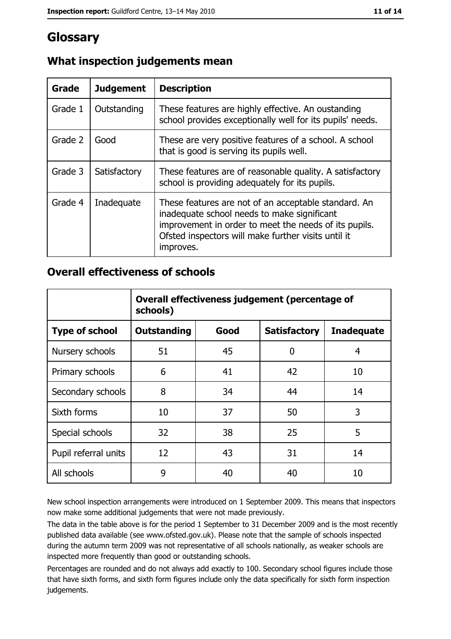# Glossary

| Grade   | <b>Judgement</b> | <b>Description</b>                                                                                                                                                                                                               |
|---------|------------------|----------------------------------------------------------------------------------------------------------------------------------------------------------------------------------------------------------------------------------|
| Grade 1 | Outstanding      | These features are highly effective. An oustanding<br>school provides exceptionally well for its pupils' needs.                                                                                                                  |
| Grade 2 | Good             | These are very positive features of a school. A school<br>that is good is serving its pupils well.                                                                                                                               |
| Grade 3 | Satisfactory     | These features are of reasonable quality. A satisfactory<br>school is providing adequately for its pupils.                                                                                                                       |
| Grade 4 | Inadequate       | These features are not of an acceptable standard. An<br>inadequate school needs to make significant<br>improvement in order to meet the needs of its pupils.<br>Ofsted inspectors will make further visits until it<br>improves. |

# What inspection judgements mean

## **Overall effectiveness of schools**

|                       | Overall effectiveness judgement (percentage of<br>schools) |      |                     |                   |
|-----------------------|------------------------------------------------------------|------|---------------------|-------------------|
| <b>Type of school</b> | <b>Outstanding</b>                                         | Good | <b>Satisfactory</b> | <b>Inadequate</b> |
| Nursery schools       | 51                                                         | 45   | 0                   | 4                 |
| Primary schools       | 6                                                          | 41   | 42                  | 10                |
| Secondary schools     | 8                                                          | 34   | 44                  | 14                |
| Sixth forms           | 10                                                         | 37   | 50                  | 3                 |
| Special schools       | 32                                                         | 38   | 25                  | 5                 |
| Pupil referral units  | 12                                                         | 43   | 31                  | 14                |
| All schools           | 9                                                          | 40   | 40                  | 10                |

New school inspection arrangements were introduced on 1 September 2009. This means that inspectors now make some additional judgements that were not made previously.

The data in the table above is for the period 1 September to 31 December 2009 and is the most recently published data available (see www.ofsted.gov.uk). Please note that the sample of schools inspected during the autumn term 2009 was not representative of all schools nationally, as weaker schools are inspected more frequently than good or outstanding schools.

Percentages are rounded and do not always add exactly to 100. Secondary school figures include those that have sixth forms, and sixth form figures include only the data specifically for sixth form inspection judgements.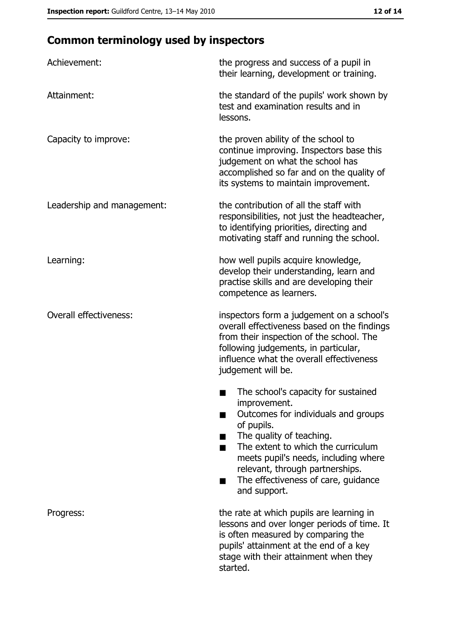# **Common terminology used by inspectors**

| Achievement:                  | the progress and success of a pupil in<br>their learning, development or training.                                                                                                                                                                                                                           |
|-------------------------------|--------------------------------------------------------------------------------------------------------------------------------------------------------------------------------------------------------------------------------------------------------------------------------------------------------------|
| Attainment:                   | the standard of the pupils' work shown by<br>test and examination results and in<br>lessons.                                                                                                                                                                                                                 |
| Capacity to improve:          | the proven ability of the school to<br>continue improving. Inspectors base this<br>judgement on what the school has<br>accomplished so far and on the quality of<br>its systems to maintain improvement.                                                                                                     |
| Leadership and management:    | the contribution of all the staff with<br>responsibilities, not just the headteacher,<br>to identifying priorities, directing and<br>motivating staff and running the school.                                                                                                                                |
| Learning:                     | how well pupils acquire knowledge,<br>develop their understanding, learn and<br>practise skills and are developing their<br>competence as learners.                                                                                                                                                          |
| <b>Overall effectiveness:</b> | inspectors form a judgement on a school's<br>overall effectiveness based on the findings<br>from their inspection of the school. The<br>following judgements, in particular,<br>influence what the overall effectiveness<br>judgement will be.                                                               |
|                               | The school's capacity for sustained<br>improvement.<br>Outcomes for individuals and groups<br>of pupils.<br>The quality of teaching.<br>The extent to which the curriculum<br>meets pupil's needs, including where<br>relevant, through partnerships.<br>The effectiveness of care, guidance<br>and support. |
| Progress:                     | the rate at which pupils are learning in<br>lessons and over longer periods of time. It<br>is often measured by comparing the<br>pupils' attainment at the end of a key<br>stage with their attainment when they<br>started.                                                                                 |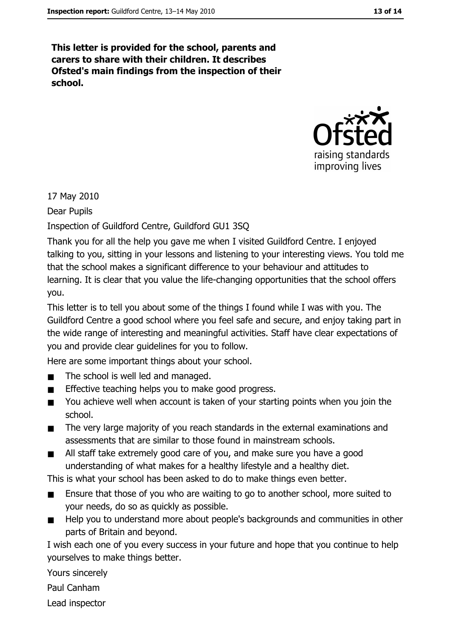This letter is provided for the school, parents and carers to share with their children. It describes Ofsted's main findings from the inspection of their school.



17 May 2010

Dear Pupils

Inspection of Guildford Centre, Guildford GU1 3SQ

Thank you for all the help you gave me when I visited Guildford Centre. I enjoyed talking to you, sitting in your lessons and listening to your interesting views. You told me that the school makes a significant difference to your behaviour and attitudes to learning. It is clear that you value the life-changing opportunities that the school offers you.

This letter is to tell you about some of the things I found while I was with you. The Guildford Centre a good school where you feel safe and secure, and enjoy taking part in the wide range of interesting and meaningful activities. Staff have clear expectations of you and provide clear quidelines for you to follow.

Here are some important things about your school.

- The school is well led and managed.  $\blacksquare$
- Effective teaching helps you to make good progress.  $\blacksquare$
- You achieve well when account is taken of your starting points when you join the  $\blacksquare$ school.
- The very large majority of you reach standards in the external examinations and  $\blacksquare$ assessments that are similar to those found in mainstream schools.
- All staff take extremely good care of you, and make sure you have a good understanding of what makes for a healthy lifestyle and a healthy diet.

This is what your school has been asked to do to make things even better.

- Ensure that those of you who are waiting to go to another school, more suited to  $\blacksquare$ your needs, do so as quickly as possible.
- Help you to understand more about people's backgrounds and communities in other  $\blacksquare$ parts of Britain and beyond.

I wish each one of you every success in your future and hope that you continue to help yourselves to make things better.

Yours sincerely

Paul Canham

Lead inspector